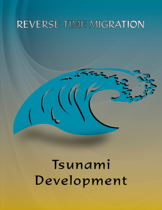# REVERSE TIME MIGRATION

# Tsunami Development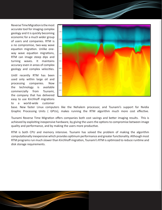Reverse Time Migration is the most accurate tool for imaging complex geology and it is quickly becoming economic for a much wider group of users and companies. RTM is a no compromise, two-way wave equation migration. Unlike oneway wave equation migrations, RTM can image steep dips and turning waves. It maintains accuracy even in areas of complex geology and complex velocities.

Until recently RTM has been used only within large oil and processing companies. Now the technology is available commercially from Tsunami, the company that has delivered easy to use Kirchhoff migrations to a world-wide customer



base. New faster Linux computers like the Nehalem processor, and Tsunami's support for Nvidia Graphic Processing Units ( GPUs), makes running the RTM algorithm much more cost effective.

Tsunami Reverse Time Migration offers companies both cost savings and better imaging results. This is achieved by exploiting inexpensive hardware, by giving the users the options to compromise between image quality and performance, and by making the users more productive.

RTM is both CPU and memory intensive. Tsunami has solved the problem of making the algorithm computationally inexpensive which provides optimum performance and greater functionality. Although most RTM programs run much slower than Kirchhoff migration, Tsunami's RTM is optimized to reduce runtime and disk storage requirements.